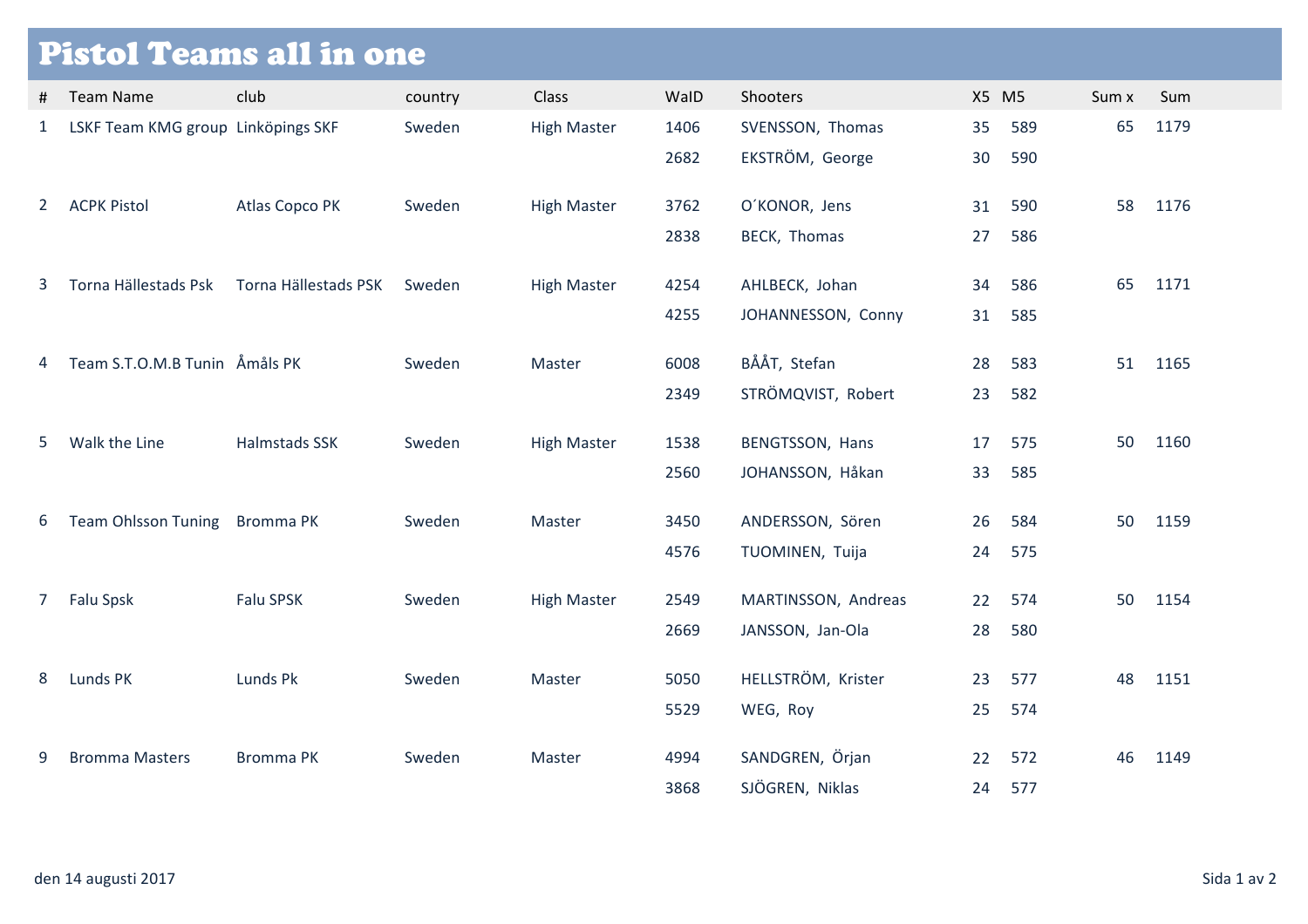| <b>Pistol Teams all in one</b> |                                    |                      |         |                    |      |                     |       |     |       |      |  |  |  |
|--------------------------------|------------------------------------|----------------------|---------|--------------------|------|---------------------|-------|-----|-------|------|--|--|--|
| #                              | <b>Team Name</b>                   | club                 | country | <b>Class</b>       | WalD | Shooters            | X5 M5 |     | Sum x | Sum  |  |  |  |
| $\mathbf{1}$                   | LSKF Team KMG group Linköpings SKF |                      | Sweden  | <b>High Master</b> | 1406 | SVENSSON, Thomas    | 35    | 589 | 65    | 1179 |  |  |  |
|                                |                                    |                      |         |                    | 2682 | EKSTRÖM, George     | 30    | 590 |       |      |  |  |  |
| $2^{\circ}$                    | <b>ACPK Pistol</b>                 | Atlas Copco PK       | Sweden  | <b>High Master</b> | 3762 | O'KONOR, Jens       | 31    | 590 | 58    | 1176 |  |  |  |
|                                |                                    |                      |         |                    | 2838 | BECK, Thomas        | 27    | 586 |       |      |  |  |  |
| 3                              | Torna Hällestads Psk               | Torna Hällestads PSK | Sweden  | <b>High Master</b> | 4254 | AHLBECK, Johan      | 34    | 586 | 65    | 1171 |  |  |  |
|                                |                                    |                      |         |                    | 4255 | JOHANNESSON, Conny  | 31    | 585 |       |      |  |  |  |
| 4                              | Team S.T.O.M.B Tunin Åmåls PK      |                      | Sweden  | Master             | 6008 | BÅÅT, Stefan        | 28    | 583 | 51    | 1165 |  |  |  |
|                                |                                    |                      |         |                    | 2349 | STRÖMQVIST, Robert  | 23    | 582 |       |      |  |  |  |
| 5                              | Walk the Line                      | Halmstads SSK        | Sweden  | <b>High Master</b> | 1538 | BENGTSSON, Hans     | 17    | 575 | 50    | 1160 |  |  |  |
|                                |                                    |                      |         |                    | 2560 | JOHANSSON, Håkan    | 33    | 585 |       |      |  |  |  |
| 6                              | Team Ohlsson Tuning Bromma PK      |                      | Sweden  | Master             | 3450 | ANDERSSON, Sören    | 26    | 584 | 50    | 1159 |  |  |  |
|                                |                                    |                      |         |                    | 4576 | TUOMINEN, Tuija     | 24    | 575 |       |      |  |  |  |
|                                | 7 Falu Spsk                        | Falu SPSK            | Sweden  | <b>High Master</b> | 2549 | MARTINSSON, Andreas | 22    | 574 | 50    | 1154 |  |  |  |
|                                |                                    |                      |         |                    | 2669 | JANSSON, Jan-Ola    | 28    | 580 |       |      |  |  |  |
| 8                              | Lunds PK                           | Lunds Pk             | Sweden  | Master             | 5050 | HELLSTRÖM, Krister  | 23    | 577 | 48    | 1151 |  |  |  |
|                                |                                    |                      |         |                    | 5529 | WEG, Roy            | 25    | 574 |       |      |  |  |  |
| 9                              | <b>Bromma Masters</b>              | <b>Bromma PK</b>     | Sweden  | Master             | 4994 | SANDGREN, Örjan     | 22    | 572 | 46    | 1149 |  |  |  |
|                                |                                    |                      |         |                    | 3868 | SJÖGREN, Niklas     | 24    | 577 |       |      |  |  |  |